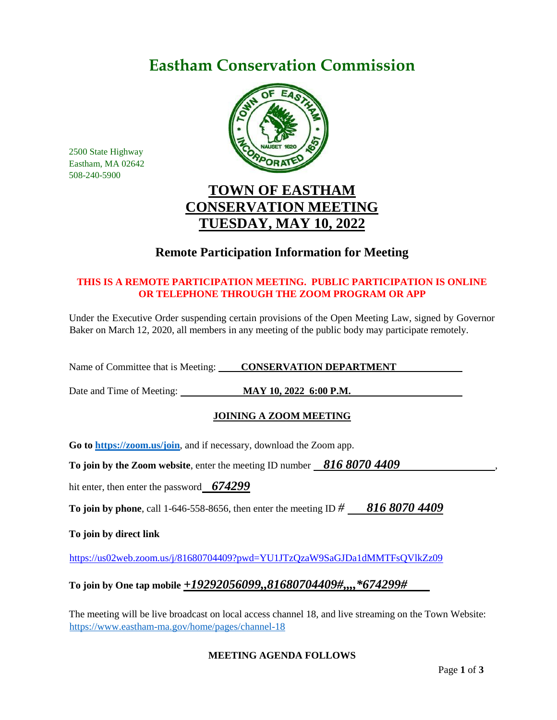# **Eastham Conservation Commission**



2500 State Highway Eastham, MA 02642 508-240-5900

# **TOWN OF EASTHAM CONSERVATION MEETING TUESDAY, MAY 10, 2022**

# **Remote Participation Information for Meeting**

## **THIS IS A REMOTE PARTICIPATION MEETING. PUBLIC PARTICIPATION IS ONLINE OR TELEPHONE THROUGH THE ZOOM PROGRAM OR APP**

Under the Executive Order suspending certain provisions of the Open Meeting Law, signed by Governor Baker on March 12, 2020, all members in any meeting of the public body may participate remotely.

Name of Committee that is Meeting: **CONSERVATION DEPARTMENT** 

Date and Time of Meeting: **MAY 10, 2022 6:00 P.M.**

# **JOINING A ZOOM MEETING**

**Go to<https://zoom.us/join>**, and if necessary, download the Zoom app.

**To join by the Zoom website, enter the meeting ID number 816 8070 4409** 

hit enter, then enter the password *674299*

**To join by phone**, call 1-646-558-8656, then enter the meeting ID *# 816 8070 4409*

**To join by direct link**

<https://us02web.zoom.us/j/81680704409?pwd=YU1JTzQzaW9SaGJDa1dMMTFsQVlkZz09>

# **To join by One tap mobile** *+19292056099,,81680704409#,,,,\*674299#*

The meeting will be live broadcast on local access channel 18, and live streaming on the Town Website: <https://www.eastham-ma.gov/home/pages/channel-18>

### **MEETING AGENDA FOLLOWS**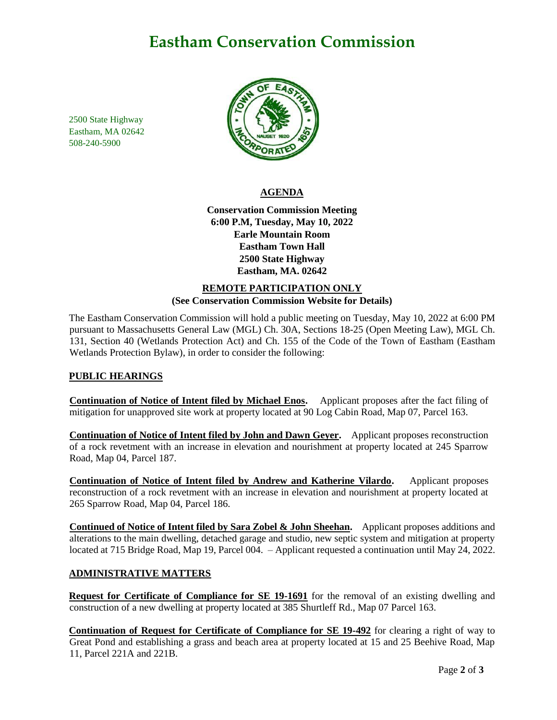# **Eastham Conservation Commission**

2500 State Highway Eastham, MA 02642 508-240-5900



### **AGENDA**

**Conservation Commission Meeting 6:00 P.M, Tuesday, May 10, 2022 Earle Mountain Room Eastham Town Hall 2500 State Highway Eastham, MA. 02642**

### **REMOTE PARTICIPATION ONLY (See Conservation Commission Website for Details)**

The Eastham Conservation Commission will hold a public meeting on Tuesday, May 10, 2022 at 6:00 PM pursuant to Massachusetts General Law (MGL) Ch. 30A, Sections 18-25 (Open Meeting Law), MGL Ch. 131, Section 40 (Wetlands Protection Act) and Ch. 155 of the Code of the Town of Eastham (Eastham Wetlands Protection Bylaw), in order to consider the following:

### **PUBLIC HEARINGS**

**Continuation of Notice of Intent filed by Michael Enos.** Applicant proposes after the fact filing of mitigation for unapproved site work at property located at 90 Log Cabin Road, Map 07, Parcel 163.

**Continuation of Notice of Intent filed by John and Dawn Geyer.** Applicant proposes reconstruction of a rock revetment with an increase in elevation and nourishment at property located at 245 Sparrow Road, Map 04, Parcel 187.

**Continuation of Notice of Intent filed by Andrew and Katherine Vilardo.** Applicant proposes reconstruction of a rock revetment with an increase in elevation and nourishment at property located at 265 Sparrow Road, Map 04, Parcel 186.

**Continued of Notice of Intent filed by Sara Zobel & John Sheehan.** Applicant proposes additions and alterations to the main dwelling, detached garage and studio, new septic system and mitigation at property located at 715 Bridge Road, Map 19, Parcel 004. – Applicant requested a continuation until May 24, 2022.

#### **ADMINISTRATIVE MATTERS**

**Request for Certificate of Compliance for SE 19-1691** for the removal of an existing dwelling and construction of a new dwelling at property located at 385 Shurtleff Rd., Map 07 Parcel 163.

**Continuation of Request for Certificate of Compliance for SE 19-492** for clearing a right of way to Great Pond and establishing a grass and beach area at property located at 15 and 25 Beehive Road, Map 11, Parcel 221A and 221B.